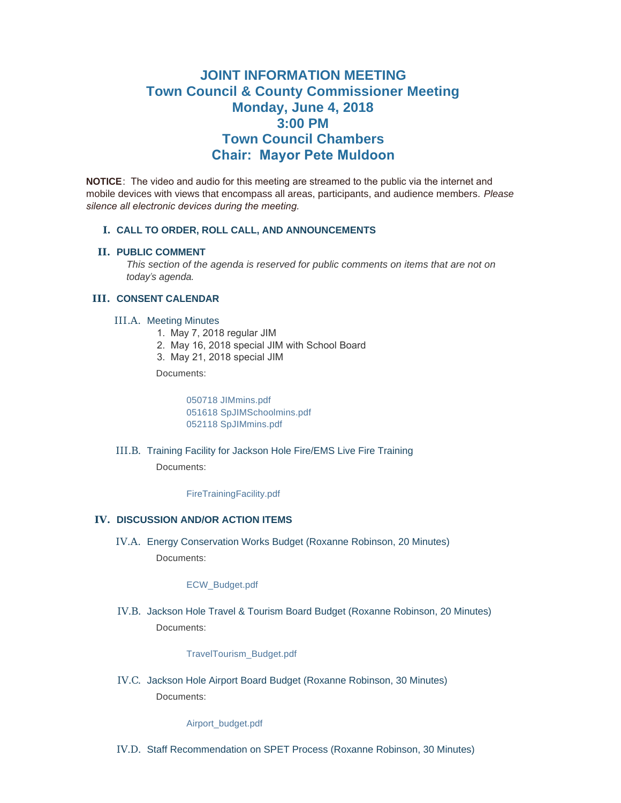# **JOINT INFORMATION MEETING Town Council & County Commissioner Meeting Monday, June 4, 2018 3:00 PM Town Council Chambers Chair: Mayor Pete Muldoon**

**NOTICE**: The video and audio for this meeting are streamed to the public via the internet and mobile devices with views that encompass all areas, participants, and audience members. *Please silence all electronic devices during the meeting.* 

# **CALL TO ORDER, ROLL CALL, AND ANNOUNCEMENTS I.**

# **PUBLIC COMMENT II.**

*This section of the agenda is reserved for public comments on items that are not on today's agenda.*

## **CONSENT CALENDAR III.**

## III.A. Meeting Minutes

- 1. May 7, 2018 regular JIM
- 2. May 16, 2018 special JIM with School Board
- 3. May 21, 2018 special JIM

Documents:

[050718 JIMmins.pdf](https://www.jacksonwy.gov/AgendaCenter/ViewFile/Item/1141?fileID=3681) [051618 SpJIMSchoolmins.pdf](https://www.jacksonwy.gov/AgendaCenter/ViewFile/Item/1141?fileID=3682) [052118 SpJIMmins.pdf](https://www.jacksonwy.gov/AgendaCenter/ViewFile/Item/1141?fileID=3683)

#### III.B. Training Facility for Jackson Hole Fire/EMS Live Fire Training

Documents:

[FireTrainingFacility.pdf](https://www.jacksonwy.gov/AgendaCenter/ViewFile/Item/1149?fileID=3685)

## **IV. DISCUSSION AND/OR ACTION ITEMS**

Energy Conservation Works Budget (Roxanne Robinson, 20 Minutes) IV.A. Documents:

[ECW\\_Budget.pdf](https://www.jacksonwy.gov/AgendaCenter/ViewFile/Item/1142?fileID=3686)

IV.B. Jackson Hole Travel & Tourism Board Budget (Roxanne Robinson, 20 Minutes) Documents:

[TravelTourism\\_Budget.pdf](https://www.jacksonwy.gov/AgendaCenter/ViewFile/Item/1143?fileID=3687)

IV.C. Jackson Hole Airport Board Budget (Roxanne Robinson, 30 Minutes) Documents:

#### [Airport\\_budget.pdf](https://www.jacksonwy.gov/AgendaCenter/ViewFile/Item/1144?fileID=3688)

IV.D. Staff Recommendation on SPET Process (Roxanne Robinson, 30 Minutes)